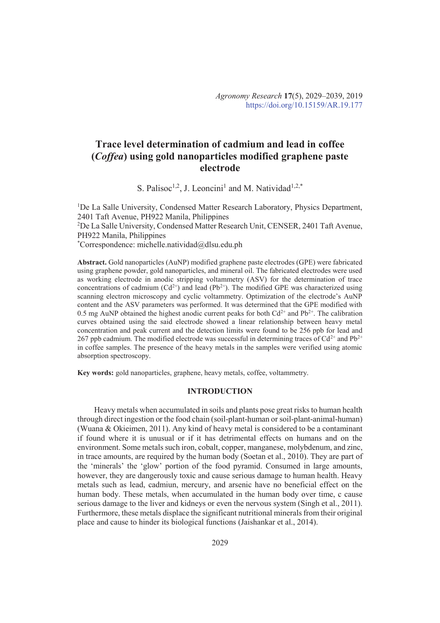# **Trace level determination of cadmium and lead in coffee (***Coffea***) using gold nanoparticles modified graphene paste electrode**

S. Palisoc<sup>1,2</sup>, J. Leoncini<sup>1</sup> and M. Natividad<sup>1,2,\*</sup>

<sup>1</sup>De La Salle University, Condensed Matter Research Laboratory, Physics Department, 2401 Taft Avenue, PH922 Manila, Philippines <sup>2</sup>De La Salle University, Condensed Matter Research Unit, CENSER, 2401 Taft Avenue, PH922 Manila, Philippines \*Correspondence: michelle.natividad@dlsu.edu.ph

**Abstract.** Gold nanoparticles (AuNP) modified graphene paste electrodes (GPE) were fabricated using graphene powder, gold nanoparticles, and mineral oil. The fabricated electrodes were used as working electrode in anodic stripping voltammetry (ASV) for the determination of trace concentrations of cadmium  $(Cd^{2+})$  and lead  $(Pb^{2+})$ . The modified GPE was characterized using scanning electron microscopy and cyclic voltammetry. Optimization of the electrode's AuNP content and the ASV parameters was performed. It was determined that the GPE modified with 0.5 mg AuNP obtained the highest anodic current peaks for both  $Cd^{2+}$  and  $Pb^{2+}$ . The calibration curves obtained using the said electrode showed a linear relationship between heavy metal concentration and peak current and the detection limits were found to be 256 ppb for lead and 267 ppb cadmium. The modified electrode was successful in determining traces of  $Cd^{2+}$  and  $Pb^{2+}$ in coffee samples. The presence of the heavy metals in the samples were verified using atomic absorption spectroscopy.

**Key words:** gold nanoparticles, graphene, heavy metals, coffee, voltammetry.

# **INTRODUCTION**

Heavy metals when accumulated in soils and plants pose great risks to human health through direct ingestion or the food chain (soil-plant-human or soil-plant-animal-human) (Wuana & Okieimen, 2011). Any kind of heavy metal is considered to be a contaminant if found where it is unusual or if it has detrimental effects on humans and on the environment. Some metals such iron, cobalt, copper, manganese, molybdenum, and zinc, in trace amounts, are required by the human body (Soetan et al., 2010). They are part of the 'minerals' the 'glow' portion of the food pyramid. Consumed in large amounts, however, they are dangerously toxic and cause serious damage to human health. Heavy metals such as lead, cadmiun, mercury, and arsenic have no beneficial effect on the human body. These metals, when accumulated in the human body over time, c cause serious damage to the liver and kidneys or even the nervous system (Singh et al., 2011). Furthermore, these metals displace the significant nutritional minerals from their original place and cause to hinder its biological functions (Jaishankar et al., 2014).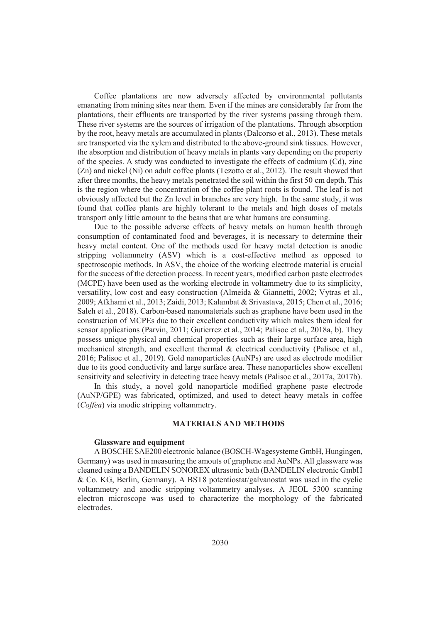Coffee plantations are now adversely affected by environmental pollutants emanating from mining sites near them. Even if the mines are considerably far from the plantations, their effluents are transported by the river systems passing through them. These river systems are the sources of irrigation of the plantations. Through absorption by the root, heavy metals are accumulated in plants (Dalcorso et al., 2013). These metals are transported via the xylem and distributed to the above-ground sink tissues. However, the absorption and distribution of heavy metals in plants vary depending on the property of the species. A study was conducted to investigate the effects of cadmium (Cd), zinc (Zn) and nickel (Ni) on adult coffee plants (Tezotto et al., 2012). The result showed that after three months, the heavy metals penetrated the soil within the first 50 cm depth. This is the region where the concentration of the coffee plant roots is found. The leaf is not obviously affected but the Zn level in branches are very high. In the same study, it was found that coffee plants are highly tolerant to the metals and high doses of metals transport only little amount to the beans that are what humans are consuming.

Due to the possible adverse effects of heavy metals on human health through consumption of contaminated food and beverages, it is necessary to determine their heavy metal content. One of the methods used for heavy metal detection is anodic stripping voltammetry (ASV) which is a cost-effective method as opposed to spectroscopic methods. In ASV, the choice of the working electrode material is crucial for the success of the detection process. In recent years, modified carbon paste electrodes (MCPE) have been used as the working electrode in voltammetry due to its simplicity, versatility, low cost and easy construction (Almeida & Giannetti, 2002; Vytras et al., 2009; Afkhami et al., 2013; Zaidi, 2013; Kalambat & Srivastava, 2015; Chen et al., 2016; Saleh et al., 2018). Carbon-based nanomaterials such as graphene have been used in the construction of MCPEs due to their excellent conductivity which makes them ideal for sensor applications (Parvin, 2011; Gutierrez et al., 2014; Palisoc et al., 2018a, b). They possess unique physical and chemical properties such as their large surface area, high mechanical strength, and excellent thermal & electrical conductivity (Palisoc et al., 2016; Palisoc et al., 2019). Gold nanoparticles (AuNPs) are used as electrode modifier due to its good conductivity and large surface area. These nanoparticles show excellent sensitivity and selectivity in detecting trace heavy metals (Palisoc et al., 2017a, 2017b).

In this study, a novel gold nanoparticle modified graphene paste electrode (AuNP/GPE) was fabricated, optimized, and used to detect heavy metals in coffee (*Coffea*) via anodic stripping voltammetry.

## **MATERIALS AND METHODS**

## **Glassware and equipment**

A BOSCHE SAE200 electronic balance (BOSCH-Wagesysteme GmbH, Hungingen, Germany) was used in measuring the amouts of graphene and AuNPs. All glassware was cleaned using a BANDELIN SONOREX ultrasonic bath (BANDELIN electronic GmbH & Co. KG, Berlin, Germany). A BST8 potentiostat/galvanostat was used in the cyclic voltammetry and anodic stripping voltammetry analyses. A JEOL 5300 scanning electron microscope was used to characterize the morphology of the fabricated electrodes.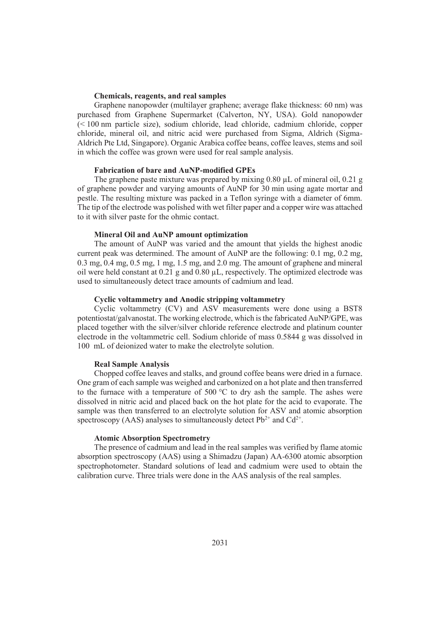# **Chemicals, reagents, and real samples**

Graphene nanopowder (multilayer graphene; average flake thickness: 60 nm) was purchased from Graphene Supermarket (Calverton, NY, USA). Gold nanopowder (< 100 nm particle size), sodium chloride, lead chloride, cadmium chloride, copper chloride, mineral oil, and nitric acid were purchased from Sigma, Aldrich (Sigma-Aldrich Pte Ltd, Singapore). Organic Arabica coffee beans, coffee leaves, stems and soil in which the coffee was grown were used for real sample analysis.

#### **Fabrication of bare and AuNP-modified GPEs**

The graphene paste mixture was prepared by mixing  $0.80 \mu L$  of mineral oil,  $0.21 \text{ g}$ of graphene powder and varying amounts of AuNP for 30 min using agate mortar and pestle. The resulting mixture was packed in a Teflon syringe with a diameter of 6mm. The tip of the electrode was polished with wet filter paper and a copper wire was attached to it with silver paste for the ohmic contact.

## **Mineral Oil and AuNP amount optimization**

The amount of AuNP was varied and the amount that yields the highest anodic current peak was determined. The amount of AuNP are the following: 0.1 mg, 0.2 mg, 0.3 mg, 0.4 mg, 0.5 mg, 1 mg, 1.5 mg, and 2.0 mg. The amount of graphene and mineral oil were held constant at  $0.21$  g and  $0.80$  uL, respectively. The optimized electrode was used to simultaneously detect trace amounts of cadmium and lead.

# **Cyclic voltammetry and Anodic stripping voltammetry**

Cyclic voltammetry (CV) and ASV measurements were done using a BST8 potentiostat/galvanostat. The working electrode, which is the fabricated AuNP/GPE, was placed together with the silver/silver chloride reference electrode and platinum counter electrode in the voltammetric cell. Sodium chloride of mass 0.5844 g was dissolved in 100 mL of deionized water to make the electrolyte solution.

## **Real Sample Analysis**

Chopped coffee leaves and stalks, and ground coffee beans were dried in a furnace. One gram of each sample was weighed and carbonized on a hot plate and then transferred to the furnace with a temperature of 500  $\degree$ C to dry ash the sample. The ashes were dissolved in nitric acid and placed back on the hot plate for the acid to evaporate. The sample was then transferred to an electrolyte solution for ASV and atomic absorption spectroscopy (AAS) analyses to simultaneously detect  $Pb^{2+}$  and  $Cd^{2+}$ .

### **Atomic Absorption Spectrometry**

The presence of cadmium and lead in the real samples was verified by flame atomic absorption spectroscopy (AAS) using a Shimadzu (Japan) AA-6300 atomic absorption spectrophotometer. Standard solutions of lead and cadmium were used to obtain the calibration curve. Three trials were done in the AAS analysis of the real samples.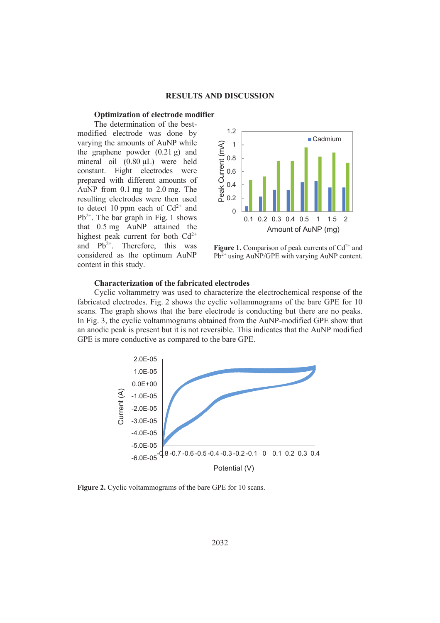#### **RESULTS AND DISCUSSION**

## **Optimization of electrode modifier**

The determination of the bestmodified electrode was done by varying the amounts of AuNP while the graphene powder (0.21 g) and mineral oil (0.80 µL) were held constant. Eight electrodes were prepared with different amounts of AuNP from 0.1 mg to 2.0 mg. The resulting electrodes were then used to detect 10 ppm each of  $Cd^{2+}$  and  $Pb^{2+}$ . The bar graph in Fig. 1 shows that 0.5 mg AuNP attained the highest peak current for both  $Cd^{2+}$ and  $Pb^{2+}$ . Therefore, this was considered as the optimum AuNP content in this study.



**Figure 1.** Comparison of peak currents of  $Cd^{2+}$  and  $Pb<sup>2+</sup>$  using AuNP/GPE with varying AuNP content.

#### **Characterization of the fabricated electrodes**

Cyclic voltammetry was used to characterize the electrochemical response of the fabricated electrodes. Fig. 2 shows the cyclic voltammograms of the bare GPE for 10 scans. The graph shows that the bare electrode is conducting but there are no peaks. In Fig. 3, the cyclic voltammograms obtained from the AuNP-modified GPE show that an anodic peak is present but it is not reversible. This indicates that the AuNP modified GPE is more conductive as compared to the bare GPE.



Figure 2. Cyclic voltammograms of the bare GPE for 10 scans.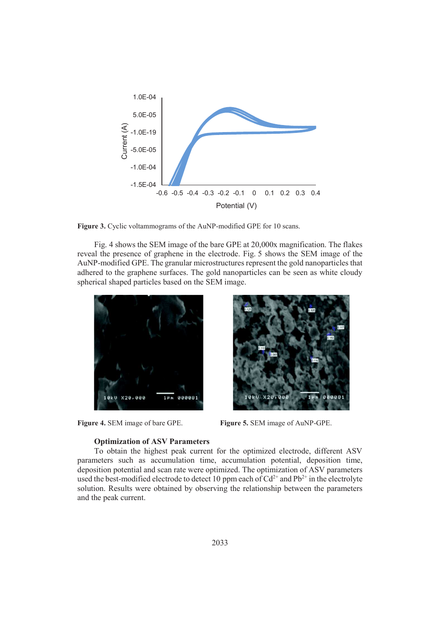

Figure 3. Cyclic voltammograms of the AuNP-modified GPE for 10 scans.

Fig. 4 shows the SEM image of the bare GPE at 20,000x magnification. The flakes reveal the presence of graphene in the electrode. Fig. 5 shows the SEM image of the AuNP-modified GPE. The granular microstructures represent the gold nanoparticles that adhered to the graphene surfaces. The gold nanoparticles can be seen as white cloudy spherical shaped particles based on the SEM image.



**Optimization of ASV Parameters** 



**Figure 4.** SEM image of bare GPE. **Figure 5.** SEM image of AuNP-GPE.

To obtain the highest peak current for the optimized electrode, different ASV parameters such as accumulation time, accumulation potential, deposition time, deposition potential and scan rate were optimized. The optimization of ASV parameters used the best-modified electrode to detect 10 ppm each of  $Cd^{2+}$  and  $Pb^{2+}$  in the electrolyte solution. Results were obtained by observing the relationship between the parameters and the peak current.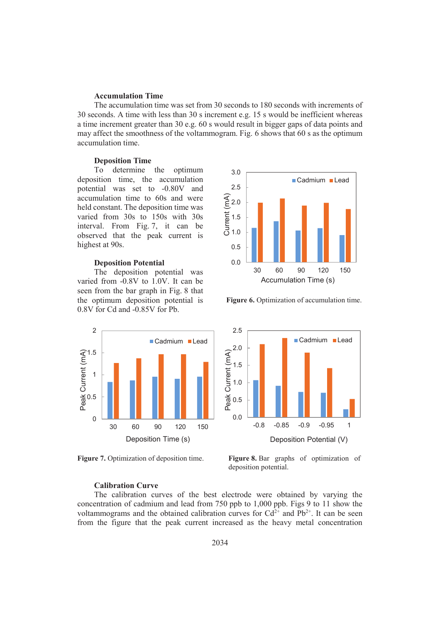### **Accumulation Time**

The accumulation time was set from 30 seconds to 180 seconds with increments of 30 seconds. A time with less than 30 s increment e.g. 15 s would be inefficient whereas a time increment greater than 30 e.g. 60 s would result in bigger gaps of data points and may affect the smoothness of the voltammogram. Fig. 6 shows that 60 s as the optimum accumulation time.

# **Deposition Time**

To determine the optimum deposition time, the accumulation potential was set to -0.80V and accumulation time to 60s and were held constant. The deposition time was varied from 30s to 150s with 30s interval. From Fig. 7, it can be observed that the peak current is highest at 90s.

#### **Deposition Potential**

The deposition potential was varied from -0.8V to 1.0V. It can be seen from the bar graph in Fig. 8 that the optimum deposition potential is 0.8V for Cd and -0.85V for Pb.





Figure 6. Optimization of accumulation time.



**Figure 7.** Optimization of deposition time. **Figure 8.** Bar graphs of optimization of deposition potential.

# **Calibration Curve**

The calibration curves of the best electrode were obtained by varying the concentration of cadmium and lead from 750 ppb to 1,000 ppb. Figs 9 to 11 show the voltammograms and the obtained calibration curves for  $Cd^{2+}$  and  $Pb^{2+}$ . It can be seen from the figure that the peak current increased as the heavy metal concentration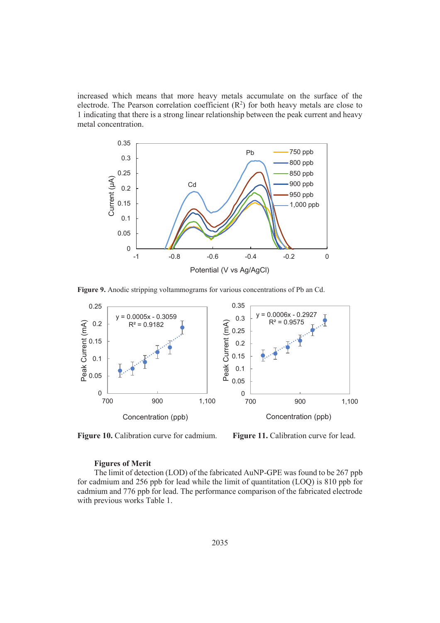increased which means that more heavy metals accumulate on the surface of the electrode. The Pearson correlation coefficient  $(R^2)$  for both heavy metals are close to 1 indicating that there is a strong linear relationship between the peak current and heavy metal concentration.



**Figure 9.** Anodic stripping voltammograms for various concentrations of Pb an Cd.



**Figure 10.** Calibration curve for cadmium. **Figure 11.** Calibration curve for lead.

#### **Figures of Merit**

The limit of detection (LOD) of the fabricated AuNP-GPE was found to be 267 ppb for cadmium and 256 ppb for lead while the limit of quantitation (LOQ) is 810 ppb for cadmium and 776 ppb for lead. The performance comparison of the fabricated electrode with previous works Table 1.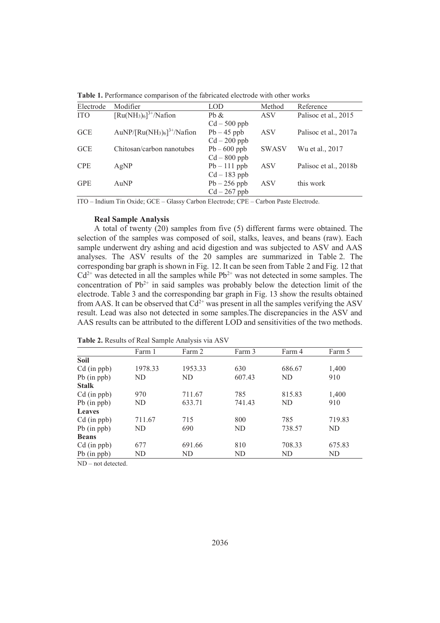| Electrode  | Modifier                                     | LOD            | Method       | Reference             |
|------------|----------------------------------------------|----------------|--------------|-----------------------|
| <b>ITO</b> | $\lceil Ru(NH_3)_6\rceil^{3+}/Nafion$        | Pb &           | <b>ASV</b>   | Palisoc et al., 2015  |
|            |                                              | $Cd - 500$ ppb |              |                       |
| <b>GCE</b> | AuNP/ $\lceil Ru(NH_3)_6\rceil^{3+}/N$ afion | $Pb - 45$ ppb  | <b>ASV</b>   | Palisoc et al., 2017a |
|            |                                              | $Cd - 200$ ppb |              |                       |
| <b>GCE</b> | Chitosan/carbon nanotubes                    | $Pb - 600$ ppb | <b>SWASV</b> | Wu et al., 2017       |
|            |                                              | $Cd - 800$ ppb |              |                       |
| <b>CPE</b> | AgNP                                         | $Pb - 111$ ppb | <b>ASV</b>   | Palisoc et al., 2018b |
|            |                                              | $Cd - 183$ ppb |              |                       |
| <b>GPE</b> | AuNP                                         | $Pb - 256$ ppb | <b>ASV</b>   | this work             |
|            |                                              | $Cd - 267$ ppb |              |                       |

**Table 1.** Performance comparison of the fabricated electrode with other works

ITO – Indium Tin Oxide; GCE – Glassy Carbon Electrode; CPE – Carbon Paste Electrode.

#### **Real Sample Analysis**

A total of twenty (20) samples from five (5) different farms were obtained. The selection of the samples was composed of soil, stalks, leaves, and beans (raw). Each sample underwent dry ashing and acid digestion and was subjected to ASV and AAS analyses. The ASV results of the 20 samples are summarized in Table 2. The corresponding bar graph is shown in Fig. 12. It can be seen from Table 2 and Fig. 12 that  $Cd^{2+}$  was detected in all the samples while Pb<sup>2+</sup> was not detected in some samples. The concentration of  $Pb^{2+}$  in said samples was probably below the detection limit of the electrode. Table 3 and the corresponding bar graph in Fig. 13 show the results obtained from AAS. It can be observed that  $Cd^{2+}$  was present in all the samples verifying the ASV result. Lead was also not detected in some samples.The discrepancies in the ASV and AAS results can be attributed to the different LOD and sensitivities of the two methods.

|                  | Farm 1  | Farm 2  | Farm 3 | Farm 4 | Farm 5 |
|------------------|---------|---------|--------|--------|--------|
| Soil             |         |         |        |        |        |
| $Cd$ (in ppb)    | 1978.33 | 1953.33 | 630    | 686.67 | 1,400  |
| $Pb$ (in $ppb$ ) | ND      | ND      | 607.43 | ND     | 910    |
| <b>Stalk</b>     |         |         |        |        |        |
| $Cd$ (in ppb)    | 970     | 711.67  | 785    | 815.83 | 1,400  |
| $Pb$ (in $ppb$ ) | ND      | 633.71  | 741.43 | ND     | 910    |
| <b>Leaves</b>    |         |         |        |        |        |
| $Cd$ (in ppb)    | 711.67  | 715     | 800    | 785    | 719.83 |
| $Pb$ (in $ppb$ ) | ND      | 690     | ND     | 738.57 | ND     |
| <b>Beans</b>     |         |         |        |        |        |
| $Cd$ (in ppb)    | 677     | 691.66  | 810    | 708.33 | 675.83 |
| $Pb$ (in $ppb$ ) | ND.     | ND      | ND.    | ND.    | ND     |
|                  |         |         |        |        |        |

**Table 2.** Results of Real Sample Analysis via ASV

ND – not detected.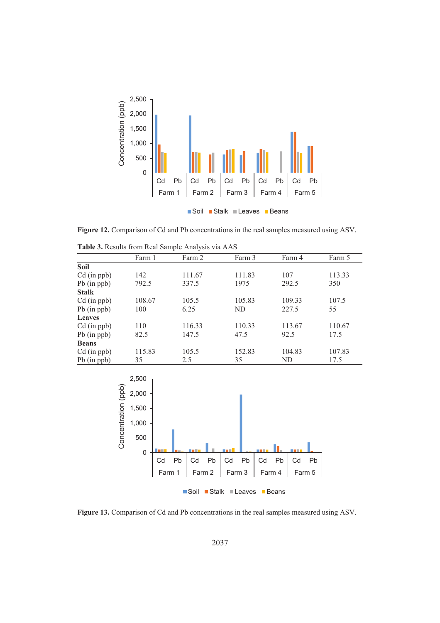

**Figure 12.** Comparison of Cd and Pb concentrations in the real samples measured using ASV.

|                   | Farm 1 | Farm 2 | Farm 3 | Farm 4 | Farm 5 |
|-------------------|--------|--------|--------|--------|--------|
| Soil              |        |        |        |        |        |
| $Cd$ (in ppb)     | 142    | 111.67 | 111.83 | 107    | 113.33 |
| $Pb$ (in $ppb$ )  | 792.5  | 337.5  | 1975   | 292.5  | 350    |
| <b>Stalk</b>      |        |        |        |        |        |
| $Cd$ (in $ppb)$ ) | 108.67 | 105.5  | 105.83 | 109.33 | 107.5  |
| $Pb$ (in $ppb$ )  | 100    | 6.25   | ND     | 227.5  | 55     |
| Leaves            |        |        |        |        |        |
| $Cd$ (in ppb)     | 110    | 116.33 | 110.33 | 113.67 | 110.67 |
| $Pb$ (in $ppb$ )  | 82.5   | 147.5  | 47.5   | 92.5   | 17.5   |
| <b>Beans</b>      |        |        |        |        |        |
| $Cd$ (in ppb)     | 115.83 | 105.5  | 152.83 | 104.83 | 107.83 |
| $Pb$ (in $ppb$ )  | 35     | 2.5    | 35     | ND     | 17.5   |

**Table 3.** Results from Real Sample Analysis via AAS



■Soil Stalk **Leaves** Beans

**Figure 13.** Comparison of Cd and Pb concentrations in the real samples measured using ASV.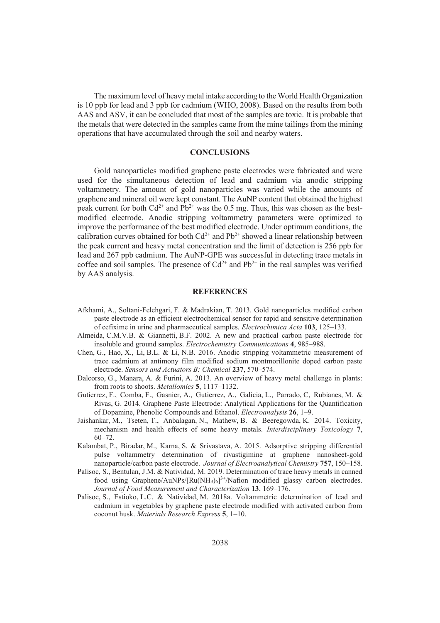The maximum level of heavy metal intake according to the World Health Organization is 10 ppb for lead and 3 ppb for cadmium (WHO, 2008). Based on the results from both AAS and ASV, it can be concluded that most of the samples are toxic. It is probable that the metals that were detected in the samples came from the mine tailings from the mining operations that have accumulated through the soil and nearby waters.

# **CONCLUSIONS**

Gold nanoparticles modified graphene paste electrodes were fabricated and were used for the simultaneous detection of lead and cadmium via anodic stripping voltammetry. The amount of gold nanoparticles was varied while the amounts of graphene and mineral oil were kept constant. The AuNP content that obtained the highest peak current for both  $Cd^{2+}$  and  $Pb^{2+}$  was the 0.5 mg. Thus, this was chosen as the bestmodified electrode. Anodic stripping voltammetry parameters were optimized to improve the performance of the best modified electrode. Under optimum conditions, the calibration curves obtained for both  $Cd^{2+}$  and  $Pb^{2+}$  showed a linear relationship between the peak current and heavy metal concentration and the limit of detection is 256 ppb for lead and 267 ppb cadmium. The AuNP-GPE was successful in detecting trace metals in coffee and soil samples. The presence of  $Cd^{2+}$  and  $Pb^{2+}$  in the real samples was verified by AAS analysis.

#### **REFERENCES**

- Afkhami, A., Soltani-Felehgari, F. & Madrakian, T. 2013. Gold nanoparticles modified carbon paste electrode as an efficient electrochemical sensor for rapid and sensitive determination of cefixime in urine and pharmaceutical samples. *Electrochimica Acta* **103**, 125–133.
- Almeida, C.M.V.B. & Giannetti, B.F. 2002. A new and practical carbon paste electrode for insoluble and ground samples. *Electrochemistry Communications* **4**, 985–988.
- Chen, G., Hao, X., Li, B.L. & Li, N.B. 2016. Anodic stripping voltammetric measurement of trace cadmium at antimony film modified sodium montmorillonite doped carbon paste electrode. *Sensors and Actuators B: Chemical* **237**, 570–574.
- Dalcorso, G., Manara, A. & Furini, A. 2013. An overview of heavy metal challenge in plants: from roots to shoots. *Metallomics* **5**, 1117–1132.
- Gutierrez, F., Comba, F., Gasnier, A., Gutierrez, A., Galicia, L., Parrado, C, Rubianes, M. & Rivas, G. 2014. Graphene Paste Electrode: Analytical Applications for the Quantification of Dopamine, Phenolic Compounds and Ethanol. *Electroanalysis* **26**, 1–9.
- Jaishankar, M., Tseten, T., Anbalagan, N., Mathew, B. & Beeregowda, K. 2014. Toxicity, mechanism and health effects of some heavy metals. *Interdisciplinary Toxicology* **7**, 60–72.
- Kalambat, P., Biradar, M., Karna, S. & Srivastava, A. 2015. Adsorptive stripping differential pulse voltammetry determination of rivastigimine at graphene nanosheet-gold nanoparticle/carbon paste electrode. *Journal of Electroanalytical Chemistry* **757**, 150–158.
- Palisoc, S., Bentulan, J.M. & Natividad, M. 2019. Determination of trace heavy metals in canned food using Graphene/AuNPs/ $[Ru(NH_3)_6]^{3+}/Nafion$  modified glassy carbon electrodes. *Journal of Food Measurement and Characterization* **13**, 169–176.
- Palisoc, S., Estioko, L.C. & Natividad, M. 2018a. Voltammetric determination of lead and cadmium in vegetables by graphene paste electrode modified with activated carbon from coconut husk. *Materials Research Express* **5**, 1–10.